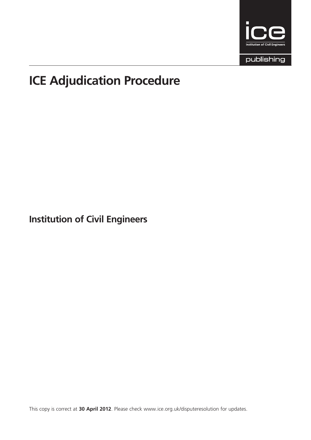

publishing

# ICE Adjudication Procedure

Institution of Civil Engineers

This copy is correct at 30 April 2012. Please check www.ice.org.uk/disputeresolution for updates.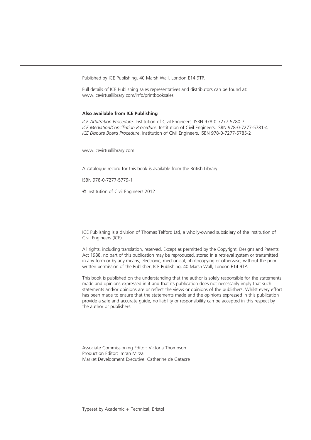Published by ICE Publishing, 40 Marsh Wall, London E14 9TP.

Full details of ICE Publishing sales representatives and distributors can be found at: www.icevirtuallibrary.com/info/printbooksales

#### Also available from ICE Publishing

ICE Arbitration Procedure. Institution of Civil Engineers. ISBN 978-0-7277-5780-7 ICE Mediation/Conciliation Procedure. Institution of Civil Engineers. ISBN 978-0-7277-5781-4 ICE Dispute Board Procedure. Institution of Civil Engineers. ISBN 978-0-7277-5785-2

www.icevirtuallibrary.com

A catalogue record for this book is available from the British Library

ISBN 978-0-7277-5779-1

 $\circ$  Institution of Civil Engineers 2012

ICE Publishing is a division of Thomas Telford Ltd, a wholly-owned subsidiary of the Institution of Civil Engineers (ICE).

All rights, including translation, reserved. Except as permitted by the Copyright, Designs and Patents Act 1988, no part of this publication may be reproduced, stored in a retrieval system or transmitted in any form or by any means, electronic, mechanical, photocopying or otherwise, without the prior written permission of the Publisher, ICE Publishing, 40 Marsh Wall, London E14 9TP.

This book is published on the understanding that the author is solely responsible for the statements made and opinions expressed in it and that its publication does not necessarily imply that such statements and/or opinions are or reflect the views or opinions of the publishers. Whilst every effort has been made to ensure that the statements made and the opinions expressed in this publication provide a safe and accurate guide, no liability or responsibility can be accepted in this respect by the author or publishers.

Associate Commissioning Editor: Victoria Thompson Production Editor: Imran Mirza Market Development Executive: Catherine de Gatacre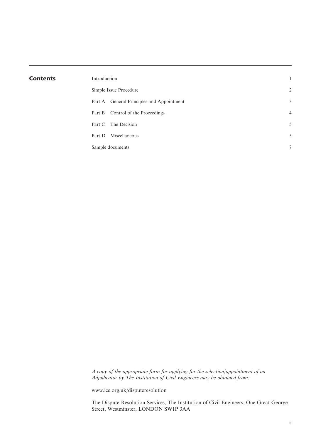| <b>Contents</b> | Introduction                              | 1              |
|-----------------|-------------------------------------------|----------------|
|                 | Simple Issue Procedure                    | 2              |
|                 | Part A General Principles and Appointment | 3              |
|                 | Part B Control of the Proceedings         | $\overline{4}$ |
|                 | Part C The Decision                       | 5              |
|                 | Miscellaneous<br>Part D                   | 5              |
|                 | Sample documents                          | $\tau$         |

A copy of the appropriate form for applying for the selection/appointment of an Adjudicator by The Institution of Civil Engineers may be obtained from:

www.ice.org.uk/disputeresolution

The Dispute Resolution Services, The Institution of Civil Engineers, One Great George Street, Westminster, LONDON SW1P 3AA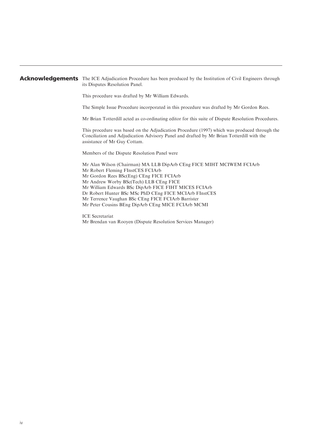#### Acknowledgements The ICE Adjudication Procedure has been produced by the Institution of Civil Engineers through its Disputes Resolution Panel.

This procedure was drafted by Mr William Edwards.

The Simple Issue Procedure incorporated in this procedure was drafted by Mr Gordon Rees.

Mr Brian Totterdill acted as co-ordinating editor for this suite of Dispute Resolution Procedures.

This procedure was based on the Adjudication Procedure (1997) which was produced through the Conciliation and Adjudication Advisory Panel and drafted by Mr Brian Totterdill with the assistance of Mr Guy Cottam.

Members of the Dispute Resolution Panel were

Mr Alan Wilson (Chairman) MA LLB DipArb CEng FICE MIHT MCIWEM FCIArb Mr Robert Fleming FInstCES FCIArb Mr Gordon Rees BSc(Eng) CEng FICE FCIArb Mr Andrew Worby BSc(Tech) LLB CEng FICE Mr William Edwards BSc DipArb FICE FIHT MICES FCIArb Dr Robert Hunter BSc MSc PhD CEng FICE MCIArb FInstCES Mr Terrence Vaughan BSc CEng FICE FCIArb Barrister Mr Peter Cousins BEng DipArb CEng MICE FCIArb MCMI

ICE Secretariat Mr Brendan van Rooyen (Dispute Resolution Services Manager)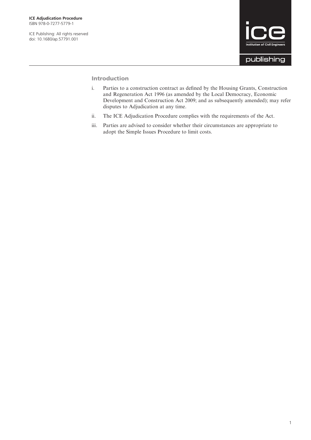ICE Publishing: All rights reserved doi: 10.1680/ap.57791.001



#### Introduction

- i. Parties to a construction contract as defined by the Housing Grants, Construction and Regeneration Act 1996 (as amended by the Local Democracy, Economic Development and Construction Act 2009; and as subsequently amended); may refer disputes to Adjudication at any time.
- ii. The ICE Adjudication Procedure complies with the requirements of the Act.
- iii. Parties are advised to consider whether their circumstances are appropriate to adopt the Simple Issues Procedure to limit costs.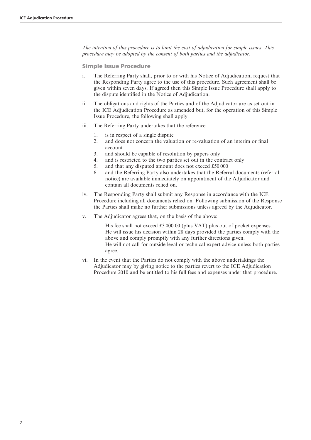The intention of this procedure is to limit the cost of adjudication for simple issues. This procedure may be adopted by the consent of both parties and the adjudicator.

Simple Issue Procedure

- i. The Referring Party shall, prior to or with his Notice of Adjudication, request that the Responding Party agree to the use of this procedure. Such agreement shall be given within seven days. If agreed then this Simple Issue Procedure shall apply to the dispute identified in the Notice of Adjudication.
- ii. The obligations and rights of the Parties and of the Adjudicator are as set out in the ICE Adjudication Procedure as amended but, for the operation of this Simple Issue Procedure, the following shall apply.
- iii. The Referring Party undertakes that the reference
	- 1. is in respect of a single dispute
	- 2. and does not concern the valuation or re-valuation of an interim or final account
	- 3. and should be capable of resolution by papers only
	- 4. and is restricted to the two parties set out in the contract only
	- 5. and that any disputed amount does not exceed £50 000
	- 6. and the Referring Party also undertakes that the Referral documents (referral notice) are available immediately on appointment of the Adjudicator and contain all documents relied on.
- iv. The Responding Party shall submit any Response in accordance with the ICE Procedure including all documents relied on. Following submission of the Response the Parties shall make no further submissions unless agreed by the Adjudicator.
- v. The Adjudicator agrees that, on the basis of the above:

His fee shall not exceed £3 000.00 (plus VAT) plus out of pocket expenses. He will issue his decision within 28 days provided the parties comply with the above and comply promptly with any further directions given. He will not call for outside legal or technical expert advice unless both parties agree.

vi. In the event that the Parties do not comply with the above undertakings the Adjudicator may by giving notice to the parties revert to the ICE Adjudication Procedure 2010 and be entitled to his full fees and expenses under that procedure.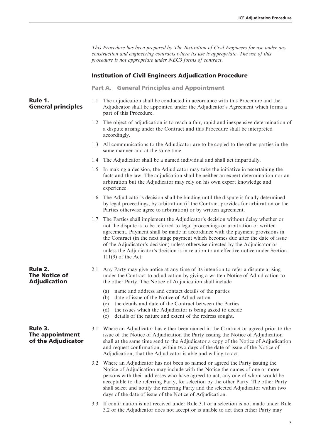This Procedure has been prepared by The Institution of Civil Engineers for use under any construction and engineering contracts where its use is appropriate. The use of this procedure is not appropriate under NEC3 forms of contract.

#### Institution of Civil Engineers Adjudication Procedure

Part A. General Principles and Appointment

#### Rule 1. General principles

- 1.1 The adjudication shall be conducted in accordance with this Procedure and the Adjudicator shall be appointed under the Adjudicator's Agreement which forms a part of this Procedure.
	- 1.2 The object of adjudication is to reach a fair, rapid and inexpensive determination of a dispute arising under the Contract and this Procedure shall be interpreted accordingly.
	- 1.3 All communications to the Adjudicator are to be copied to the other parties in the same manner and at the same time.
	- 1.4 The Adjudicator shall be a named individual and shall act impartially.
	- 1.5 In making a decision, the Adjudicator may take the initiative in ascertaining the facts and the law. The adjudication shall be neither an expert determination nor an arbitration but the Adjudicator may rely on his own expert knowledge and experience.
	- 1.6 The Adjudicator's decision shall be binding until the dispute is finally determined by legal proceedings, by arbitration (if the Contract provides for arbitration or the Parties otherwise agree to arbitration) or by written agreement.
	- 1.7 The Parties shall implement the Adjudicator's decision without delay whether or not the dispute is to be referred to legal proceedings or arbitration or written agreement. Payment shall be made in accordance with the payment provisions in the Contract (in the next stage payment which becomes due after the date of issue of the Adjudicator's decision) unless otherwise directed by the Adjudicator or unless the Adjudicator's decision is in relation to an effective notice under Section 111(9) of the Act.

#### 2.1 Any Party may give notice at any time of its intention to refer a dispute arising under the Contract to adjudication by giving a written Notice of Adjudication to the other Party. The Notice of Adjudication shall include

- (a) name and address and contact details of the parties
- (b) date of issue of the Notice of Adjudication
- (c) the details and date of the Contract between the Parties
- (d) the issues which the Adjudicator is being asked to decide
- (e) details of the nature and extent of the redress sought.
- 3.1 Where an Adjudicator has either been named in the Contract or agreed prior to the issue of the Notice of Adjudication the Party issuing the Notice of Adjudication shall at the same time send to the Adjudicator a copy of the Notice of Adjudication and request confirmation, within two days of the date of issue of the Notice of Adjudication, that the Adjudicator is able and willing to act.
- 3.2 Where an Adjudicator has not been so named or agreed the Party issuing the Notice of Adjudication may include with the Notice the names of one or more persons with their addresses who have agreed to act, any one of whom would be acceptable to the referring Party, for selection by the other Party. The other Party shall select and notify the referring Party and the selected Adjudicator within two days of the date of issue of the Notice of Adjudication.
- 3.3 If confirmation is not received under Rule 3.1 or a selection is not made under Rule 3.2 or the Adjudicator does not accept or is unable to act then either Party may

# Rule 2. The Notice of Adjudication

#### Rule 3. The appointment of the Adjudicator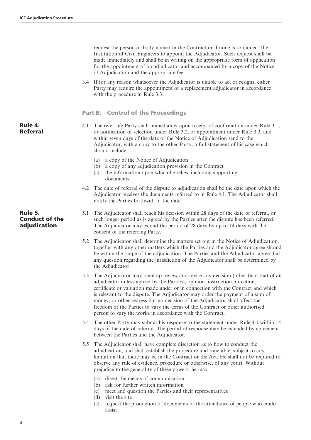request the person or body named in the Contract or if none is so named The Institution of Civil Engineers to appoint the Adjudicator. Such request shall be made immediately and shall be in writing on the appropriate form of application for the appointment of an adjudicator and accompanied by a copy of the Notice of Adjudication and the appropriate fee. 3.4 If for any reason whatsoever the Adjudicator is unable to act or resigns, either Party may require the appointment of a replacement adjudicator in accordance with the procedure in Rule 3.3. Part B. Control of the Proceedings Rule 4. Referral 4.1 The referring Party shall immediately upon receipt of confirmation under Rule 3.1, or notification of selection under Rule 3.2, or appointment under Rule 3.3, and within seven days of the date of the Notice of Adjudication send to the Adjudicator, with a copy to the other Party, a full statement of his case which should include (a) a copy of the Notice of Adjudication (b) a copy of any adjudication provision in the Contract (c) the information upon which he relies, including supporting documents. 4.2 The date of referral of the dispute to adjudication shall be the date upon which the Adjudicator receives the documents referred to in Rule 4.1. The Adjudicator shall notify the Parties forthwith of the date. Rule 5. Conduct of the adjudication 5.1 The Adjudicator shall reach his decision within 28 days of the date of referral, or such longer period as is agreed by the Parties after the dispute has been referred. The Adjudicator may extend the period of 28 days by up to 14 days with the consent of the referring Party. 5.2 The Adjudicator shall determine the matters set out in the Notice of Adjudication, together with any other matters which the Parties and the Adjudicator agree should be within the scope of the adjudication. The Parties and the Adjudicator agree that any question regarding the jurisdiction of the Adjudicator shall be determined by the Adjudicator. 5.3 The Adjudicator may open up review and revise any decision (other than that of an adjudicator unless agreed by the Parties), opinion, instruction, direction, certificate or valuation made under or in connection with the Contract and which is relevant to the dispute. The Adjudicator may order the payment of a sum of money, or other redress but no decision of the Adjudicator shall affect the freedom of the Parties to vary the terms of the Contract or other authorised person to vary the works in accordance with the Contract. 5.4 The other Party may submit his response to the statement under Rule 4.1 within 14 days of the date of referral. The period of response may be extended by agreement between the Parties and the Adjudicator. 5.5 The Adjudicator shall have complete discretion as to how to conduct the adjudication, and shall establish the procedure and timetable, subject to any limitation that there may be in the Contract or the Act. He shall not be required to observe any rule of evidence, procedure or otherwise, of any court. Without prejudice to the generality of these powers, he may

- (a) direct the means of communication
- (b) ask for further written information
- (c) meet and question the Parties and their representatives
- (d) visit the site
- (e) request the production of documents or the attendance of people who could assist

4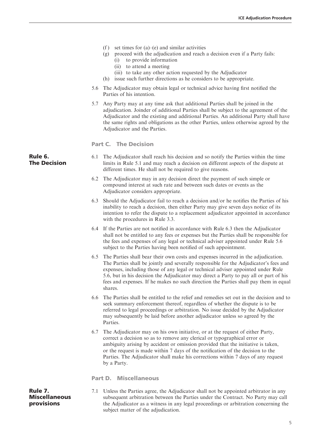|                                |     | (f)<br>set times for $(a)$ – $(e)$ and similar activities<br>proceed with the adjudication and reach a decision even if a Party fails:<br>(g)<br>to provide information<br>(i)<br>(ii) to attend a meeting<br>(iii) to take any other action requested by the Adjudicator<br>issue such further directions as he considers to be appropriate.<br>(h)                                                                                                       |
|--------------------------------|-----|------------------------------------------------------------------------------------------------------------------------------------------------------------------------------------------------------------------------------------------------------------------------------------------------------------------------------------------------------------------------------------------------------------------------------------------------------------|
|                                | 5.6 | The Adjudicator may obtain legal or technical advice having first notified the<br>Parties of his intention.                                                                                                                                                                                                                                                                                                                                                |
|                                |     | 5.7 Any Party may at any time ask that additional Parties shall be joined in the<br>adjudication. Joinder of additional Parties shall be subject to the agreement of the<br>Adjudicator and the existing and additional Parties. An additional Party shall have<br>the same rights and obligations as the other Parties, unless otherwise agreed by the<br>Adjudicator and the Parties.                                                                    |
|                                |     | <b>Part C. The Decision</b>                                                                                                                                                                                                                                                                                                                                                                                                                                |
| Rule 6.<br><b>The Decision</b> | 6.1 | The Adjudicator shall reach his decision and so notify the Parties within the time<br>limits in Rule 5.1 and may reach a decision on different aspects of the dispute at<br>different times. He shall not be required to give reasons.                                                                                                                                                                                                                     |
|                                |     | 6.2 The Adjudicator may in any decision direct the payment of such simple or<br>compound interest at such rate and between such dates or events as the<br>Adjudicator considers appropriate.                                                                                                                                                                                                                                                               |
|                                |     | 6.3 Should the Adjudicator fail to reach a decision and/or he notifies the Parties of his<br>inability to reach a decision, then either Party may give seven days notice of its<br>intention to refer the dispute to a replacement adjudicator appointed in accordance<br>with the procedures in Rule 3.3.                                                                                                                                                 |
|                                |     | 6.4 If the Parties are not notified in accordance with Rule 6.3 then the Adjudicator<br>shall not be entitled to any fees or expenses but the Parties shall be responsible for<br>the fees and expenses of any legal or technical adviser appointed under Rule 5.6<br>subject to the Parties having been notified of such appointment.                                                                                                                     |
|                                | 6.5 | The Parties shall bear their own costs and expenses incurred in the adjudication.<br>The Parties shall be jointly and severally responsible for the Adjudicator's fees and<br>expenses, including those of any legal or technical adviser appointed under Rule<br>5.6, but in his decision the Adjudicator may direct a Party to pay all or part of his<br>fees and expenses. If he makes no such direction the Parties shall pay them in equal<br>shares. |
|                                |     | 6.6 The Parties shall be entitled to the relief and remedies set out in the decision and to<br>seek summary enforcement thereof, regardless of whether the dispute is to be<br>referred to legal proceedings or arbitration. No issue decided by the Adjudicator<br>may subsequently be laid before another adjudicator unless so agreed by the<br>Parties.                                                                                                |
|                                | 6.7 | The Adjudicator may on his own initiative, or at the request of either Party,<br>correct a decision so as to remove any clerical or typographical error or<br>ambiguity arising by accident or omission provided that the initiative is taken,<br>or the request is made within 7 days of the notification of the decision to the<br>Parties. The Adjudicator shall make his corrections within 7 days of any request<br>by a Party.                       |
|                                |     | <b>Part D. Miscellaneous</b>                                                                                                                                                                                                                                                                                                                                                                                                                               |

Rule 7. **Miscellaneous** provisions

7.1 Unless the Parties agree, the Adjudicator shall not be appointed arbitrator in any subsequent arbitration between the Parties under the Contract. No Party may call the Adjudicator as a witness in any legal proceedings or arbitration concerning the subject matter of the adjudication.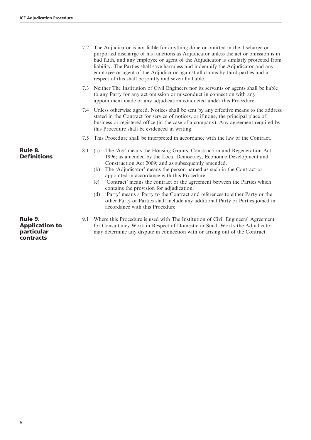|                               |     | 7.2 The Adjudicator is not liable for anything done or omitted in the discharge or<br>purported discharge of his functions as Adjudicator unless the act or omission is in<br>bad faith, and any employee or agent of the Adjudicator is similarly protected from<br>liability. The Parties shall save harmless and indemnify the Adjudicator and any<br>employee or agent of the Adjudicator against all claims by third parties and in<br>respect of this shall be jointly and severally liable.                                                                                                                                                                            |
|-------------------------------|-----|-------------------------------------------------------------------------------------------------------------------------------------------------------------------------------------------------------------------------------------------------------------------------------------------------------------------------------------------------------------------------------------------------------------------------------------------------------------------------------------------------------------------------------------------------------------------------------------------------------------------------------------------------------------------------------|
|                               |     | 7.3 Neither The Institution of Civil Engineers nor its servants or agents shall be liable<br>to any Party for any act omission or misconduct in connection with any<br>appointment made or any adjudication conducted under this Procedure.                                                                                                                                                                                                                                                                                                                                                                                                                                   |
|                               |     | 7.4 Unless otherwise agreed, Notices shall be sent by any effective means to the address<br>stated in the Contract for service of notices, or if none, the principal place of<br>business or registered office (in the case of a company). Any agreement required by<br>this Procedure shall be evidenced in writing.                                                                                                                                                                                                                                                                                                                                                         |
|                               | 7.5 | This Procedure shall be interpreted in accordance with the law of the Contract.                                                                                                                                                                                                                                                                                                                                                                                                                                                                                                                                                                                               |
| Rule 8.<br><b>Definitions</b> | 8.1 | The 'Act' means the Housing Grants, Construction and Regeneration Act<br>(a)<br>1996; as amended by the Local Democracy, Economic Development and<br>Construction Act 2009; and as subsequently amended.<br>The 'Adjudicator' means the person named as such in the Contract or<br>(b)<br>appointed in accordance with this Procedure.<br>'Contract' means the contract or the agreement between the Parties which<br>(c)<br>contains the provision for adjudication.<br>(d) 'Party' means a Party to the Contract and references to either Party or the<br>other Party or Parties shall include any additional Party or Parties joined in<br>accordance with this Procedure. |

9.1 Where this Procedure is used with The Institution of Civil Engineers' Agreement for Consultancy Work in Respect of Domestic or Small Works the Adjudicator may determine any dispute in connection with or arising out of the Contract.

Rule 9. Application to particular contracts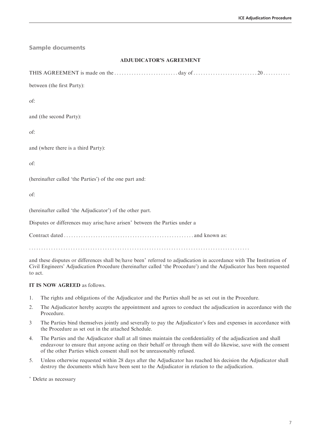Sample documents

#### ADJUDICATOR'S AGREEMENT

THIS AGREEMENT is made on the . . . . . . . . . . . . . . . . . . . . . . . . . . day of . . . . . . . . . . . . . . . . . . . . . . . . . . 20 . . . . . . . . . . .

between (the first Party):

of:

and (the second Party):

of:

and (where there is a third Party):

of:

(hereinafter called 'the Parties') of the one part and:

of:

(hereinafter called 'the Adjudicator') of the other part.

Disputes or differences may arise/have arisen<sup>\*</sup> between the Parties under a

Contract dated . . . . . . . . . . . . . . . . . . . . . . . . . . . . . . . . . . . . . . . . . . . . . . . . . . . . . and known as:

..........................................................................................

and these disputes or differences shall be/have been<sup>\*</sup> referred to adjudication in accordance with The Institution of Civil Engineers' Adjudication Procedure (hereinafter called 'the Procedure') and the Adjudicator has been requested to act.

#### IT IS NOW AGREED as follows.

- 1. The rights and obligations of the Adjudicator and the Parties shall be as set out in the Procedure.
- 2. The Adjudicator hereby accepts the appointment and agrees to conduct the adjudication in accordance with the Procedure.
- 3 The Parties bind themselves jointly and severally to pay the Adjudicator's fees and expenses in accordance with the Procedure as set out in the attached Schedule.
- 4. The Parties and the Adjudicator shall at all times maintain the confidentiality of the adjudication and shall endeavour to ensure that anyone acting on their behalf or through them will do likewise, save with the consent of the other Parties which consent shall not be unreasonably refused.
- 5. Unless otherwise requested within 28 days after the Adjudicator has reached his decision the Adjudicator shall destroy the documents which have been sent to the Adjudicator in relation to the adjudication.

Delete as necessary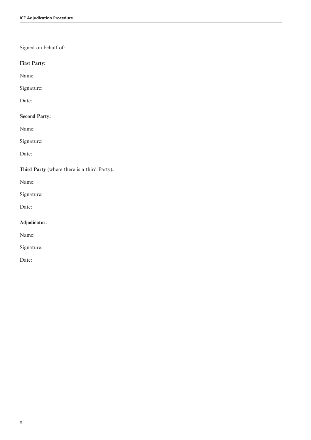# Signed on behalf of:

# First Party:

Name:

## Signature:

Date:

# Second Party:

Name:

Signature:

Date:

# Third Party (where there is a third Party):

Name:

Signature:

Date:

# Adjudicator:

Name:

Signature:

Date: